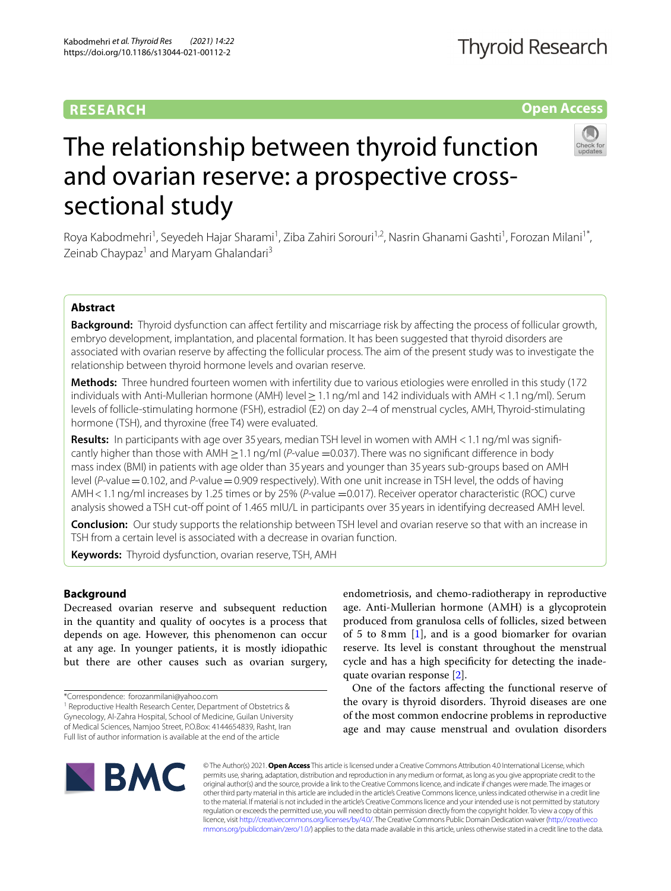# **RESEARCH**

# **Open Access**



# The relationship between thyroid function and ovarian reserve: a prospective crosssectional study

Roya Kabodmehri<sup>1</sup>, Seyedeh Hajar Sharami<sup>1</sup>, Ziba Zahiri Sorouri<sup>1,2</sup>, Nasrin Ghanami Gashti<sup>1</sup>, Forozan Milani<sup>1\*</sup>, Zeinab Chaypaz<sup>1</sup> and Maryam Ghalandari<sup>3</sup>

# **Abstract**

**Background:** Thyroid dysfunction can afect fertility and miscarriage risk by afecting the process of follicular growth, embryo development, implantation, and placental formation. It has been suggested that thyroid disorders are associated with ovarian reserve by afecting the follicular process. The aim of the present study was to investigate the relationship between thyroid hormone levels and ovarian reserve.

**Methods:** Three hundred fourteen women with infertility due to various etiologies were enrolled in this study (172 individuals with Anti-Mullerian hormone (AMH) level≥1.1ng/ml and 142 individuals with AMH <1.1ng/ml). Serum levels of follicle-stimulating hormone (FSH), estradiol (E2) on day 2–4 of menstrual cycles, AMH, Thyroid-stimulating hormone (TSH), and thyroxine (free T4) were evaluated.

**Results:** In participants with age over 35 years, median TSH level in women with AMH < 1.1 ng/ml was significantly higher than those with AMH ≥1.1ng/ml (*P*-value =0.037). There was no signifcant diference in body mass index (BMI) in patients with age older than 35 years and younger than 35 years sub-groups based on AMH level (*P*-value=0.102, and *P*-value=0.909 respectively). With one unit increase in TSH level, the odds of having AMH<1.1ng/ml increases by 1.25 times or by 25% (*P*-value =0.017). Receiver operator characteristic (ROC) curve analysis showed a TSH cut-off point of 1.465 mIU/L in participants over 35 years in identifying decreased AMH level.

**Conclusion:** Our study supports the relationship between TSH level and ovarian reserve so that with an increase in TSH from a certain level is associated with a decrease in ovarian function.

**Keywords:** Thyroid dysfunction, ovarian reserve, TSH, AMH

# **Background**

Decreased ovarian reserve and subsequent reduction in the quantity and quality of oocytes is a process that depends on age. However, this phenomenon can occur at any age. In younger patients, it is mostly idiopathic but there are other causes such as ovarian surgery,

\*Correspondence: forozanmilani@yahoo.com

<sup>1</sup> Reproductive Health Research Center, Department of Obstetrics & Gynecology, Al-Zahra Hospital, School of Medicine, Guilan University of Medical Sciences, Namjoo Street, P.O.Box: 4144654839, Rasht, Iran Full list of author information is available at the end of the article

endometriosis, and chemo-radiotherapy in reproductive age. Anti-Mullerian hormone (AMH) is a glycoprotein produced from granulosa cells of follicles, sized between of 5 to 8mm [\[1](#page-4-0)], and is a good biomarker for ovarian reserve. Its level is constant throughout the menstrual cycle and has a high specifcity for detecting the inadequate ovarian response [\[2](#page-4-1)].

One of the factors afecting the functional reserve of the ovary is thyroid disorders. Thyroid diseases are one of the most common endocrine problems in reproductive age and may cause menstrual and ovulation disorders



© The Author(s) 2021. **Open Access** This article is licensed under a Creative Commons Attribution 4.0 International License, which permits use, sharing, adaptation, distribution and reproduction in any medium or format, as long as you give appropriate credit to the original author(s) and the source, provide a link to the Creative Commons licence, and indicate if changes were made. The images or other third party material in this article are included in the article's Creative Commons licence, unless indicated otherwise in a credit line to the material. If material is not included in the article's Creative Commons licence and your intended use is not permitted by statutory regulation or exceeds the permitted use, you will need to obtain permission directly from the copyright holder. To view a copy of this licence, visit [http://creativecommons.org/licenses/by/4.0/.](http://creativecommons.org/licenses/by/4.0/) The Creative Commons Public Domain Dedication waiver ([http://creativeco](http://creativecommons.org/publicdomain/zero/1.0/) [mmons.org/publicdomain/zero/1.0/](http://creativecommons.org/publicdomain/zero/1.0/)) applies to the data made available in this article, unless otherwise stated in a credit line to the data.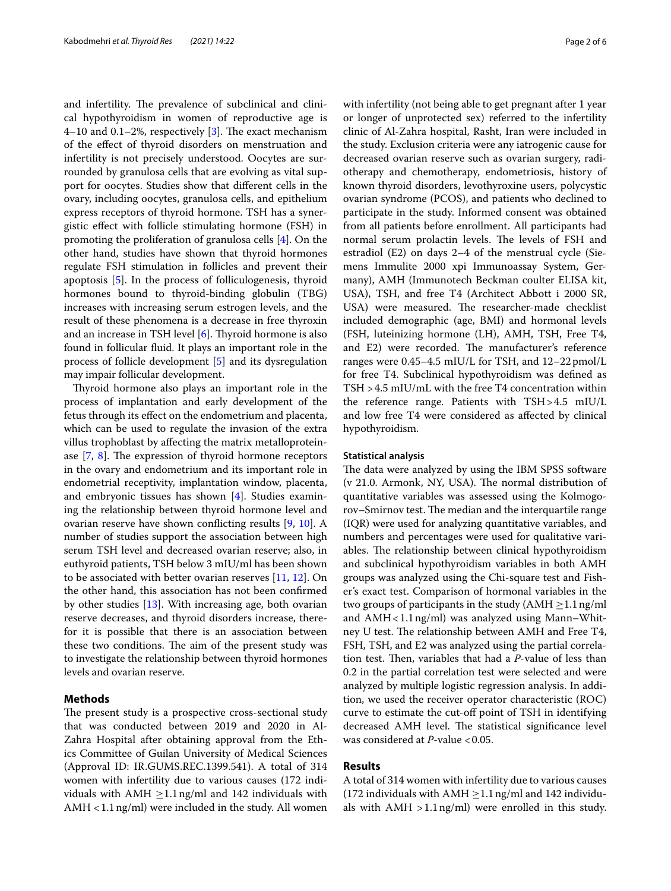and infertility. The prevalence of subclinical and clinical hypothyroidism in women of reproductive age is 4–10 and 0.1–2%, respectively  $[3]$  $[3]$ . The exact mechanism of the efect of thyroid disorders on menstruation and infertility is not precisely understood. Oocytes are surrounded by granulosa cells that are evolving as vital support for oocytes. Studies show that diferent cells in the ovary, including oocytes, granulosa cells, and epithelium express receptors of thyroid hormone. TSH has a synergistic efect with follicle stimulating hormone (FSH) in promoting the proliferation of granulosa cells [[4\]](#page-4-3). On the other hand, studies have shown that thyroid hormones regulate FSH stimulation in follicles and prevent their apoptosis [\[5](#page-4-4)]. In the process of folliculogenesis, thyroid hormones bound to thyroid-binding globulin (TBG) increases with increasing serum estrogen levels, and the result of these phenomena is a decrease in free thyroxin and an increase in TSH level  $[6]$  $[6]$ . Thyroid hormone is also found in follicular fuid. It plays an important role in the process of follicle development [\[5](#page-4-4)] and its dysregulation may impair follicular development.

Thyroid hormone also plays an important role in the process of implantation and early development of the fetus through its efect on the endometrium and placenta, which can be used to regulate the invasion of the extra villus trophoblast by afecting the matrix metalloproteinase  $[7, 8]$  $[7, 8]$  $[7, 8]$ . The expression of thyroid hormone receptors in the ovary and endometrium and its important role in endometrial receptivity, implantation window, placenta, and embryonic tissues has shown [\[4](#page-4-3)]. Studies examining the relationship between thyroid hormone level and ovarian reserve have shown conficting results [[9,](#page-5-0) [10](#page-5-1)]. A number of studies support the association between high serum TSH level and decreased ovarian reserve; also, in euthyroid patients, TSH below 3 mIU/ml has been shown to be associated with better ovarian reserves [[11,](#page-5-2) [12](#page-5-3)]. On the other hand, this association has not been confrmed by other studies [\[13\]](#page-5-4). With increasing age, both ovarian reserve decreases, and thyroid disorders increase, therefor it is possible that there is an association between these two conditions. The aim of the present study was to investigate the relationship between thyroid hormones levels and ovarian reserve.

# **Methods**

The present study is a prospective cross-sectional study that was conducted between 2019 and 2020 in Al-Zahra Hospital after obtaining approval from the Ethics Committee of Guilan University of Medical Sciences (Approval ID: IR.GUMS.REC.1399.541). A total of 314 women with infertility due to various causes (172 individuals with AMH  $\geq$ 1.1 ng/ml and 142 individuals with AMH  $<$  1.1 ng/ml) were included in the study. All women with infertility (not being able to get pregnant after 1 year or longer of unprotected sex) referred to the infertility clinic of Al-Zahra hospital, Rasht, Iran were included in the study. Exclusion criteria were any iatrogenic cause for decreased ovarian reserve such as ovarian surgery, radiotherapy and chemotherapy, endometriosis, history of known thyroid disorders, levothyroxine users, polycystic ovarian syndrome (PCOS), and patients who declined to participate in the study. Informed consent was obtained from all patients before enrollment. All participants had normal serum prolactin levels. The levels of FSH and estradiol (E2) on days 2–4 of the menstrual cycle (Siemens Immulite 2000 xpi Immunoassay System, Germany), AMH (Immunotech Beckman coulter ELISA kit, USA), TSH, and free T4 (Architect Abbott i 2000 SR, USA) were measured. The researcher-made checklist included demographic (age, BMI) and hormonal levels (FSH, luteinizing hormone (LH), AMH, TSH, Free T4, and E2) were recorded. The manufacturer's reference ranges were 0.45–4.5 mIU/L for TSH, and 12–22 pmol/L for free T4. Subclinical hypothyroidism was defned as TSH >4.5 mIU/mL with the free T4 concentration within the reference range. Patients with TSH>4.5 mIU/L and low free T4 were considered as afected by clinical hypothyroidism.

## **Statistical analysis**

The data were analyzed by using the IBM SPSS software (v 21.0. Armonk, NY, USA). The normal distribution of quantitative variables was assessed using the Kolmogorov–Smirnov test. The median and the interquartile range (IQR) were used for analyzing quantitative variables, and numbers and percentages were used for qualitative variables. The relationship between clinical hypothyroidism and subclinical hypothyroidism variables in both AMH groups was analyzed using the Chi-square test and Fisher's exact test. Comparison of hormonal variables in the two groups of participants in the study ( $AMH \geq 1.1$ ng/ml and  $AMH < 1.1$  ng/ml) was analyzed using Mann–Whitney U test. The relationship between AMH and Free T4, FSH, TSH, and E2 was analyzed using the partial correlation test. Then, variables that had a *P*-value of less than 0.2 in the partial correlation test were selected and were analyzed by multiple logistic regression analysis. In addition, we used the receiver operator characteristic (ROC) curve to estimate the cut-of point of TSH in identifying decreased AMH level. The statistical significance level was considered at *P*-value <0.05.

# **Results**

A total of 314 women with infertility due to various causes (172 individuals with AMH  $\geq$  1.1 ng/ml and 142 individuals with  $AMH > 1.1$ ng/ml) were enrolled in this study.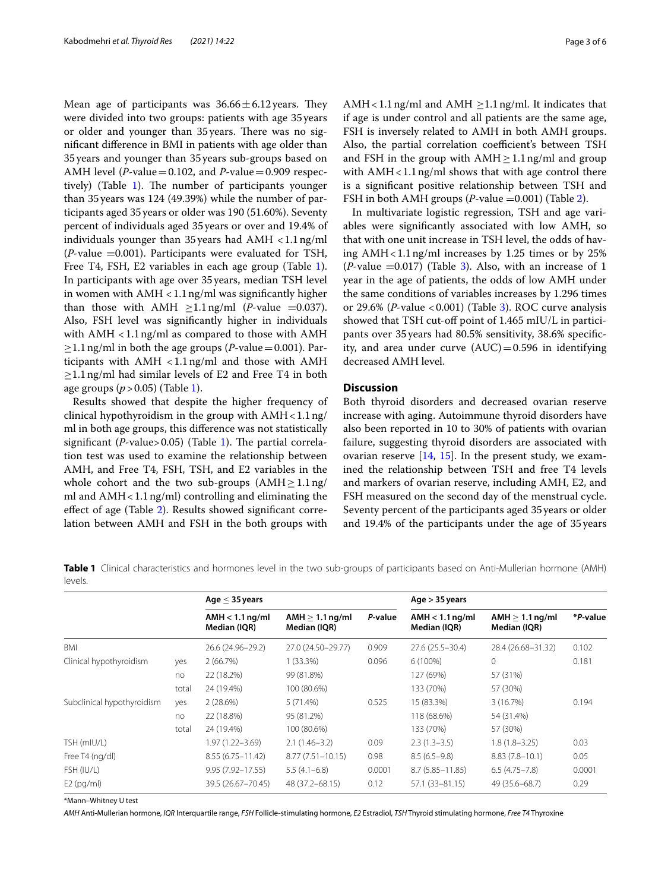Mean age of participants was  $36.66 \pm 6.12$  years. They were divided into two groups: patients with age 35years or older and younger than 35 years. There was no signifcant diference in BMI in patients with age older than 35years and younger than 35years sub-groups based on AMH level (*P*-value = 0.102, and *P*-value = 0.909 respec-tively) (Table [1](#page-2-0)). The number of participants younger than 35years was 124 (49.39%) while the number of participants aged 35years or older was 190 (51.60%). Seventy percent of individuals aged 35years or over and 19.4% of individuals younger than 35 years had  $AMH < 1.1$ ng/ml (*P*-value =0.001). Participants were evaluated for TSH, Free T4, FSH, E2 variables in each age group (Table [1](#page-2-0)). In participants with age over 35years, median TSH level in women with  $\mathrm{AMH} < 1.1\,\mathrm{ng/mL}$  was significantly higher than those with AMH  $\geq$ 1.1ng/ml (*P*-value =0.037). Also, FSH level was signifcantly higher in individuals with  $AMH < 1.1$  ng/ml as compared to those with  $AMH$  $\geq$ 1.1 ng/ml in both the age groups (*P*-value=0.001). Participants with  $AMH < 1.1$  ng/ml and those with  $AMH$  $\geq$ 1.1 ng/ml had similar levels of E2 and Free T4 in both age groups (*p*>0.05) (Table [1](#page-2-0)).

Results showed that despite the higher frequency of clinical hypothyroidism in the group with AMH<1.1ng/ ml in both age groups, this diference was not statistically significant ( $P$ -value>0.05) (Table [1\)](#page-2-0). The partial correlation test was used to examine the relationship between AMH, and Free T4, FSH, TSH, and E2 variables in the whole cohort and the two sub-groups  $(AMH \geq 1.1$ ng/ ml and AMH < 1.1 ng/ml) controlling and eliminating the efect of age (Table [2](#page-3-0)). Results showed signifcant correlation between AMH and FSH in the both groups with AMH < 1.1 ng/ml and AMH  $\geq$  1.1 ng/ml. It indicates that if age is under control and all patients are the same age, FSH is inversely related to AMH in both AMH groups. Also, the partial correlation coefficient's between TSH and FSH in the group with  $AMH \geq 1.1$  ng/ml and group with  $AMH < 1.1$  ng/ml shows that with age control there is a signifcant positive relationship between TSH and FSH in both AMH groups (*P*-value =0.001) (Table [2](#page-3-0)).

In multivariate logistic regression, TSH and age variables were signifcantly associated with low AMH, so that with one unit increase in TSH level, the odds of having  $AMH < 1.1$ ng/ml increases by 1.25 times or by 25%  $(P$ -value  $=0.017)$  (Table [3\)](#page-3-1). Also, with an increase of 1 year in the age of patients, the odds of low AMH under the same conditions of variables increases by 1.296 times or 29.6% (*P*-value <0.001) (Table [3\)](#page-3-1). ROC curve analysis showed that TSH cut-of point of 1.465 mIU/L in participants over 35years had 80.5% sensitivity, 38.6% specifcity, and area under curve  $(AUC) = 0.596$  in identifying decreased AMH level.

# **Discussion**

Both thyroid disorders and decreased ovarian reserve increase with aging. Autoimmune thyroid disorders have also been reported in 10 to 30% of patients with ovarian failure, suggesting thyroid disorders are associated with ovarian reserve  $[14, 15]$  $[14, 15]$  $[14, 15]$  $[14, 15]$  $[14, 15]$ . In the present study, we examined the relationship between TSH and free T4 levels and markers of ovarian reserve, including AMH, E2, and FSH measured on the second day of the menstrual cycle. Seventy percent of the participants aged 35years or older and 19.4% of the participants under the age of 35years

<span id="page-2-0"></span>**Table 1** Clinical characteristics and hormones level in the two sub-groups of participants based on Anti-Mullerian hormone (AMH) levels.

|                            |       | Age $\leq$ 35 years               |                                   |         | Age $>$ 35 years                  |                                      |          |  |
|----------------------------|-------|-----------------------------------|-----------------------------------|---------|-----------------------------------|--------------------------------------|----------|--|
|                            |       | $AMH < 1.1$ ng/ml<br>Median (IQR) | $AMH > 1.1$ ng/ml<br>Median (IQR) | P-value | $AMH < 1.1$ ng/ml<br>Median (IQR) | AMH $\geq$ 1.1 ng/ml<br>Median (IQR) | *P-value |  |
| <b>BMI</b>                 |       | 26.6 (24.96-29.2)                 | 27.0 (24.50-29.77)                | 0.909   | $27.6(25.5 - 30.4)$               | 28.4 (26.68-31.32)                   | 0.102    |  |
| Clinical hypothyroidism    | yes   | 2(66.7%)                          | $1(33.3\%)$                       | 0.096   | 6 (100%)                          | $\Omega$                             | 0.181    |  |
|                            | no    | 22 (18.2%)                        | 99 (81.8%)                        |         | 127 (69%)                         | 57 (31%)                             |          |  |
|                            | total | 24 (19.4%)                        | 100 (80.6%)                       |         | 133 (70%)                         | 57 (30%)                             |          |  |
| Subclinical hypothyroidism | yes   | 2(28.6%)                          | 5(71.4%)                          | 0.525   | 15 (83.3%)                        | 3 (16.7%)                            | 0.194    |  |
|                            | no    | 22 (18.8%)                        | 95 (81.2%)                        |         | 118 (68.6%)                       | 54 (31.4%)                           |          |  |
|                            | total | 24 (19.4%)                        | 100 (80.6%)                       |         | 133 (70%)                         | 57 (30%)                             |          |  |
| TSH (mIU/L)                |       | 1.97 (1.22-3.69)                  | $2.1(1.46-3.2)$                   | 0.09    | $2.3(1.3-3.5)$                    | $1.8(1.8 - 3.25)$                    | 0.03     |  |
| Free T4 (ng/dl)            |       | $8.55(6.75 - 11.42)$              | $8.77(7.51 - 10.15)$              | 0.98    | $8.5(6.5-9.8)$                    | $8.83(7.8 - 10.1)$                   | 0.05     |  |
| FSH (IU/L)                 |       | $9.95(7.92 - 17.55)$              | $5.5(4.1 - 6.8)$                  | 0.0001  | $8.7(5.85 - 11.85)$               | $6.5(4.75 - 7.8)$                    | 0.0001   |  |
| $E2$ (pg/ml)               |       | 39.5 (26.67-70.45)                | 48 (37.2-68.15)                   | 0.12    | 57.1 (33-81.15)                   | 49 (35.6-68.7)                       | 0.29     |  |

\*Mann–Whitney U test

*AMH* Anti-Mullerian hormone, *IQR* Interquartile range, *FSH* Follicle-stimulating hormone, *E2* Estradiol, *TSH* Thyroid stimulating hormone, *Free T4* Thyroxine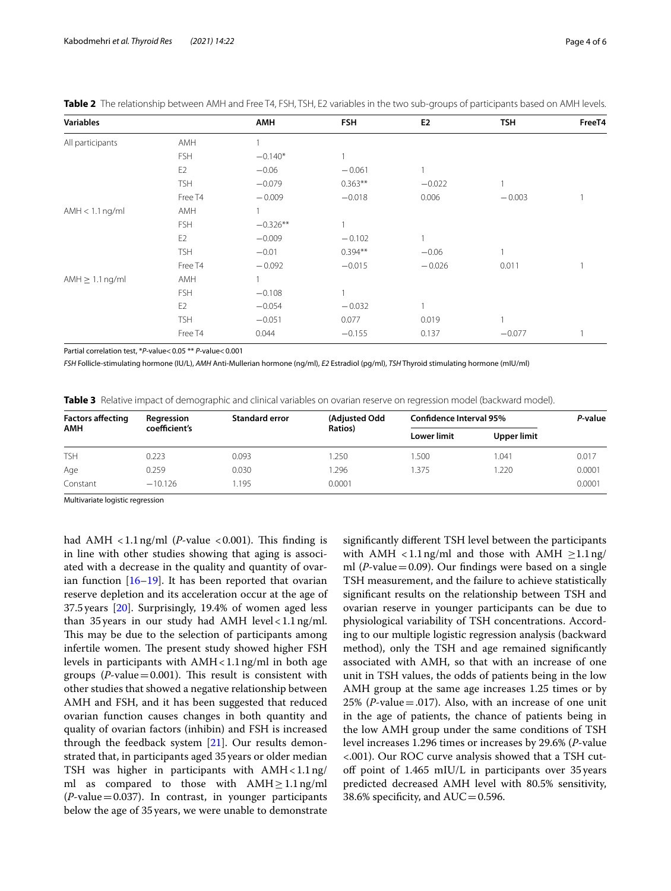| <b>Variables</b>     |                | <b>AMH</b> | <b>FSH</b> | E <sub>2</sub> | <b>TSH</b> | FreeT4 |
|----------------------|----------------|------------|------------|----------------|------------|--------|
| All participants     | AMH            |            |            |                |            |        |
|                      | <b>FSH</b>     | $-0.140*$  |            |                |            |        |
|                      | E <sub>2</sub> | $-0.06$    | $-0.061$   |                |            |        |
|                      | <b>TSH</b>     | $-0.079$   | $0.363**$  | $-0.022$       | 1          |        |
|                      | Free T4        | $-0.009$   | $-0.018$   | 0.006          | $-0.003$   |        |
| $AMH < 1.1$ ng/ml    | AMH            |            |            |                |            |        |
|                      | <b>FSH</b>     | $-0.326**$ |            |                |            |        |
|                      | E <sub>2</sub> | $-0.009$   | $-0.102$   |                |            |        |
|                      | <b>TSH</b>     | $-0.01$    | $0.394**$  | $-0.06$        |            |        |
|                      | Free T4        | $-0.092$   | $-0.015$   | $-0.026$       | 0.011      |        |
| AMH $\geq 1.1$ ng/ml | AMH            |            |            |                |            |        |
|                      | <b>FSH</b>     | $-0.108$   |            |                |            |        |
|                      | E <sub>2</sub> | $-0.054$   | $-0.032$   |                |            |        |
|                      | <b>TSH</b>     | $-0.051$   | 0.077      | 0.019          |            |        |
|                      | Free T4        | 0.044      | $-0.155$   | 0.137          | $-0.077$   |        |

<span id="page-3-0"></span>

| Table 2 The relationship between AMH and Free T4, FSH, TSH, E2 variables in the two sub-groups of participants based on AMH levels |  |
|------------------------------------------------------------------------------------------------------------------------------------|--|
|------------------------------------------------------------------------------------------------------------------------------------|--|

Partial correlation test, \**P*-value<0.05 \*\* *P*-value<0.001

*FSH* Follicle-stimulating hormone (IU/L), *AMH* Anti-Mullerian hormone (ng/ml), *E2* Estradiol (pg/ml), *TSH* Thyroid stimulating hormone (mIU/ml)

<span id="page-3-1"></span>

|  | <b>Table 3</b> Relative impact of demographic and clinical variables on ovarian reserve on regression model (backward model). |  |  |
|--|-------------------------------------------------------------------------------------------------------------------------------|--|--|
|  |                                                                                                                               |  |  |

| <b>Factors affecting</b><br><b>AMH</b> | Regression    | <b>Standard error</b> | (Adjusted Odd | Confidence Interval 95% |             | P-value |
|----------------------------------------|---------------|-----------------------|---------------|-------------------------|-------------|---------|
|                                        | coefficient's |                       | Ratios)       | <b>Lower limit</b>      | Upper limit |         |
| <b>TSH</b>                             | 0.223         | 0.093                 | 1.250         | .500                    | 1.041       | 0.017   |
| Age                                    | 0.259         | 0.030                 | 1.296         | .375                    | .220        | 0.0001  |
| Constant                               | $-10.126$     | 1.195                 | 0.0001        |                         |             | 0.0001  |

Multivariate logistic regression

had AMH  $\langle 1.1 \text{ ng/ml}$  (*P*-value  $\langle 0.001 \rangle$ . This finding is in line with other studies showing that aging is associated with a decrease in the quality and quantity of ovarian function [[16–](#page-5-7)[19](#page-5-8)]. It has been reported that ovarian reserve depletion and its acceleration occur at the age of 37.5years [\[20](#page-5-9)]. Surprisingly, 19.4% of women aged less than 35 years in our study had AMH level < 1.1 ng/ml. This may be due to the selection of participants among infertile women. The present study showed higher FSH levels in participants with  $AMH < 1.1$ ng/ml in both age groups ( $P$ -value=0.001). This result is consistent with other studies that showed a negative relationship between AMH and FSH, and it has been suggested that reduced ovarian function causes changes in both quantity and quality of ovarian factors (inhibin) and FSH is increased through the feedback system [[21\]](#page-5-10). Our results demonstrated that, in participants aged 35years or older median TSH was higher in participants with  $AMH < 1.1$ ng/ ml as compared to those with  $AMH \geq 1.1$ ng/ml  $(P$ -value = 0.037). In contrast, in younger participants below the age of 35 years, we were unable to demonstrate signifcantly diferent TSH level between the participants with AMH <1.1ng/ml and those with AMH  $\geq$ 1.1ng/ ml ( $P$ -value=0.09). Our findings were based on a single TSH measurement, and the failure to achieve statistically signifcant results on the relationship between TSH and ovarian reserve in younger participants can be due to physiological variability of TSH concentrations. According to our multiple logistic regression analysis (backward method), only the TSH and age remained signifcantly associated with AMH, so that with an increase of one unit in TSH values, the odds of patients being in the low AMH group at the same age increases 1.25 times or by 25% (*P*-value = .017). Also, with an increase of one unit in the age of patients, the chance of patients being in the low AMH group under the same conditions of TSH level increases 1.296 times or increases by 29.6% (*P*-value <.001). Our ROC curve analysis showed that a TSH cutof point of 1.465 mIU/L in participants over 35years predicted decreased AMH level with 80.5% sensitivity, 38.6% specificity, and  $AUC = 0.596$ .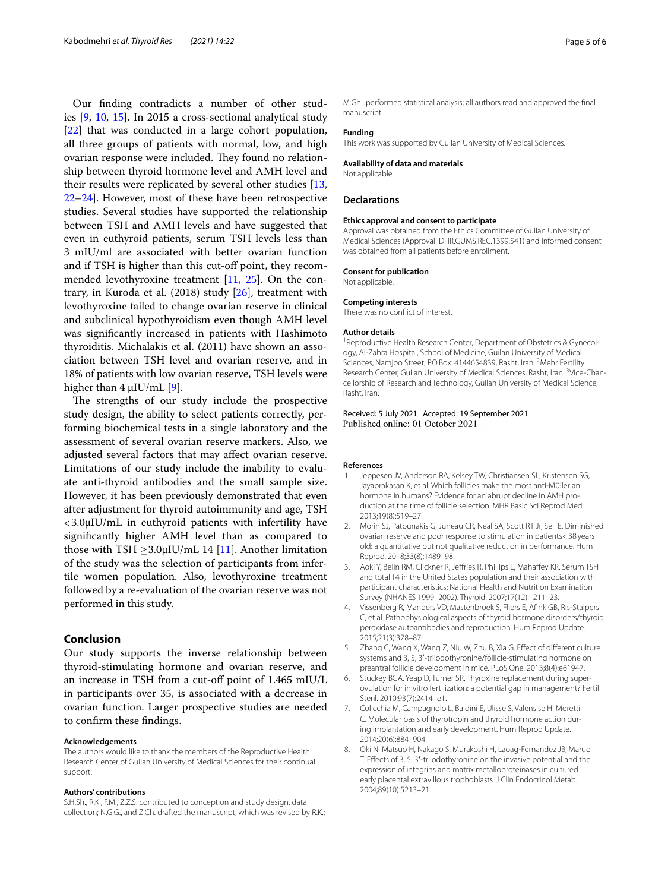Our fnding contradicts a number of other studies [\[9](#page-5-0), [10](#page-5-1), [15\]](#page-5-6). In 2015 a cross-sectional analytical study [[22\]](#page-5-11) that was conducted in a large cohort population, all three groups of patients with normal, low, and high ovarian response were included. They found no relationship between thyroid hormone level and AMH level and their results were replicated by several other studies [\[13](#page-5-4), [22–](#page-5-11)[24](#page-5-12)]. However, most of these have been retrospective studies. Several studies have supported the relationship between TSH and AMH levels and have suggested that even in euthyroid patients, serum TSH levels less than 3 mIU/ml are associated with better ovarian function and if TSH is higher than this cut-of point, they recommended levothyroxine treatment [[11,](#page-5-2) [25\]](#page-5-13). On the contrary, in Kuroda et al.  $(2018)$  study  $[26]$  $[26]$ , treatment with levothyroxine failed to change ovarian reserve in clinical and subclinical hypothyroidism even though AMH level was signifcantly increased in patients with Hashimoto thyroiditis. Michalakis et al. (2011) have shown an association between TSH level and ovarian reserve, and in 18% of patients with low ovarian reserve, TSH levels were higher than  $4 \mu$ IU/mL [\[9\]](#page-5-0).

The strengths of our study include the prospective study design, the ability to select patients correctly, performing biochemical tests in a single laboratory and the assessment of several ovarian reserve markers. Also, we adjusted several factors that may afect ovarian reserve. Limitations of our study include the inability to evaluate anti-thyroid antibodies and the small sample size. However, it has been previously demonstrated that even after adjustment for thyroid autoimmunity and age, TSH <3.0μIU/mL in euthyroid patients with infertility have signifcantly higher AMH level than as compared to those with TSH  $\geq$ 3.0µIU/mL 14 [\[11](#page-5-2)]. Another limitation of the study was the selection of participants from infertile women population. Also, levothyroxine treatment followed by a re-evaluation of the ovarian reserve was not performed in this study.

## **Conclusion**

Our study supports the inverse relationship between thyroid-stimulating hormone and ovarian reserve, and an increase in TSH from a cut-off point of 1.465 mIU/L in participants over 35, is associated with a decrease in ovarian function. Larger prospective studies are needed to confrm these fndings.

#### **Acknowledgements**

The authors would like to thank the members of the Reproductive Health Research Center of Guilan University of Medical Sciences for their continual support.

### **Authors' contributions**

S.H.Sh., R.K., F.M., Z.Z.S. contributed to conception and study design, data collection; N.G.G., and Z.Ch. drafted the manuscript, which was revised by R.K.; M.Gh., performed statistical analysis; all authors read and approved the fnal manuscript.

## **Funding**

This work was supported by Guilan University of Medical Sciences.

#### **Availability of data and materials**

Not applicable.

## **Declarations**

#### **Ethics approval and consent to participate**

Approval was obtained from the Ethics Committee of Guilan University of Medical Sciences (Approval ID: IR.GUMS.REC.1399.541) and informed consent was obtained from all patients before enrollment.

#### **Consent for publication**

Not applicable.

## **Competing interests**

There was no confict of interest.

#### **Author details**

<sup>1</sup> Reproductive Health Research Center, Department of Obstetrics & Gynecology, Al-Zahra Hospital, School of Medicine, Guilan University of Medical Sciences, Namjoo Street, P.O.Box: 4144654839, Rasht, Iran. <sup>2</sup>Mehr Fertility Research Center, Guilan University of Medical Sciences, Rasht, Iran. <sup>3</sup>Vice-Chancellorship of Research and Technology, Guilan University of Medical Science, Rasht, Iran.

## Received: 5 July 2021 Accepted: 19 September 2021 Published online: 01 October 2021

#### **References**

- <span id="page-4-0"></span>1. Jeppesen JV, Anderson RA, Kelsey TW, Christiansen SL, Kristensen SG, Jayaprakasan K, et al. Which follicles make the most anti-Müllerian hormone in humans? Evidence for an abrupt decline in AMH production at the time of follicle selection. MHR Basic Sci Reprod Med. 2013;19(8):519–27.
- <span id="page-4-1"></span>2. Morin SJ, Patounakis G, Juneau CR, Neal SA, Scott RT Jr, Seli E. Diminished ovarian reserve and poor response to stimulation in patients<38 years old: a quantitative but not qualitative reduction in performance. Hum Reprod. 2018;33(8):1489–98.
- <span id="page-4-2"></span>3. Aoki Y, Belin RM, Clickner R, Jefries R, Phillips L, Mahafey KR. Serum TSH and total T4 in the United States population and their association with participant characteristics: National Health and Nutrition Examination Survey (NHANES 1999–2002). Thyroid. 2007;17(12):1211–23.
- <span id="page-4-3"></span>4. Vissenberg R, Manders VD, Mastenbroek S, Fliers E, Afnk GB, Ris-Stalpers C, et al. Pathophysiological aspects of thyroid hormone disorders/thyroid peroxidase autoantibodies and reproduction. Hum Reprod Update. 2015;21(3):378–87.
- <span id="page-4-4"></span>5. Zhang C, Wang X, Wang Z, Niu W, Zhu B, Xia G. Efect of diferent culture systems and 3, 5, 3′-triiodothyronine/follicle-stimulating hormone on preantral follicle development in mice. PLoS One. 2013;8(4):e61947.
- <span id="page-4-5"></span>6. Stuckey BGA, Yeap D, Turner SR. Thyroxine replacement during superovulation for in vitro fertilization: a potential gap in management? Fertil Steril. 2010;93(7):2414–e1.
- <span id="page-4-6"></span>7. Colicchia M, Campagnolo L, Baldini E, Ulisse S, Valensise H, Moretti C. Molecular basis of thyrotropin and thyroid hormone action during implantation and early development. Hum Reprod Update. 2014;20(6):884–904.
- <span id="page-4-7"></span>8. Oki N, Matsuo H, Nakago S, Murakoshi H, Laoag-Fernandez JB, Maruo T. Efects of 3, 5, 3′-triiodothyronine on the invasive potential and the expression of integrins and matrix metalloproteinases in cultured early placental extravillous trophoblasts. J Clin Endocrinol Metab. 2004;89(10):5213–21.